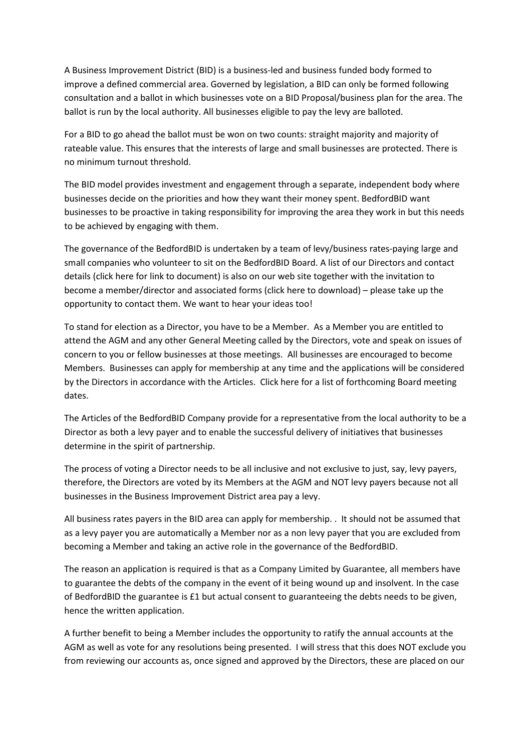A Business Improvement District (BID) is a business-led and business funded body formed to improve a defined commercial area. Governed by legislation, a BID can only be formed following consultation and a ballot in which businesses vote on a BID Proposal/business plan for the area. The ballot is run by the local authority. All businesses eligible to pay the levy are balloted.

For a BID to go ahead the ballot must be won on two counts: straight majority and majority of rateable value. This ensures that the interests of large and small businesses are protected. There is no minimum turnout threshold.

The BID model provides investment and engagement through a separate, independent body where businesses decide on the priorities and how they want their money spent. BedfordBID want businesses to be proactive in taking responsibility for improving the area they work in but this needs to be achieved by engaging with them.

The governance of the BedfordBID is undertaken by a team of levy/business rates-paying large and small companies who volunteer to sit on the BedfordBID Board. A list of our Directors and contact details (click here for link to document) is also on our web site together with the invitation to become a member/director and associated forms (click here to download) – please take up the opportunity to contact them. We want to hear your ideas too!

To stand for election as a Director, you have to be a Member. As a Member you are entitled to attend the AGM and any other General Meeting called by the Directors, vote and speak on issues of concern to you or fellow businesses at those meetings. All businesses are encouraged to become Members. Businesses can apply for membership at any time and the applications will be considered by the Directors in accordance with the Articles. Click here for a list of forthcoming Board meeting dates.

The Articles of the BedfordBID Company provide for a representative from the local authority to be a Director as both a levy payer and to enable the successful delivery of initiatives that businesses determine in the spirit of partnership.

The process of voting a Director needs to be all inclusive and not exclusive to just, say, levy payers, therefore, the Directors are voted by its Members at the AGM and NOT levy payers because not all businesses in the Business Improvement District area pay a levy.

All business rates payers in the BID area can apply for membership. . It should not be assumed that as a levy payer you are automatically a Member nor as a non levy payer that you are excluded from becoming a Member and taking an active role in the governance of the BedfordBID.

The reason an application is required is that as a Company Limited by Guarantee, all members have to guarantee the debts of the company in the event of it being wound up and insolvent. In the case of BedfordBID the guarantee is £1 but actual consent to guaranteeing the debts needs to be given, hence the written application.

A further benefit to being a Member includes the opportunity to ratify the annual accounts at the AGM as well as vote for any resolutions being presented. I will stress that this does NOT exclude you from reviewing our accounts as, once signed and approved by the Directors, these are placed on our